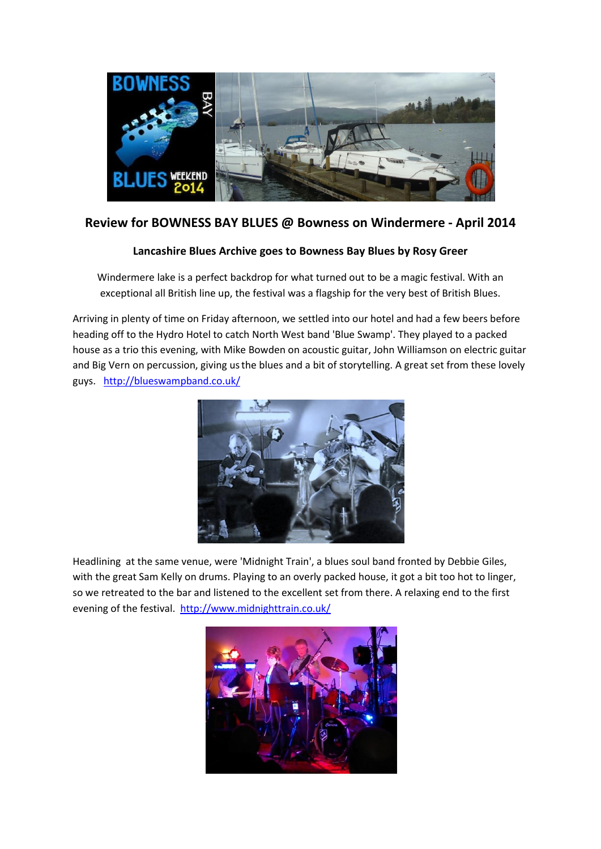

## **Review for BOWNESS BAY BLUES @ Bowness on Windermere - April 2014**

## **Lancashire Blues Archive goes to Bowness Bay Blues by Rosy Greer**

Windermere lake is a perfect backdrop for what turned out to be a magic festival. With an exceptional all British line up, the festival was a flagship for the very best of British Blues.

Arriving in plenty of time on Friday afternoon, we settled into our hotel and had a few beers before heading off to the Hydro Hotel to catch North West band 'Blue Swamp'. They played to a packed house as a trio this evening, with Mike Bowden on acoustic guitar, John Williamson on electric guitar and Big Vern on percussion, giving us the blues and a bit of storytelling. A great set from these lovely guys. <http://blueswampband.co.uk/>



Headlining at the same venue, were 'Midnight Train', a blues soul band fronted by Debbie Giles, with the great Sam Kelly on drums. Playing to an overly packed house, it got a bit too hot to linger, so we retreated to the bar and listened to the excellent set from there. A relaxing end to the first evening of the festival.<http://www.midnighttrain.co.uk/>

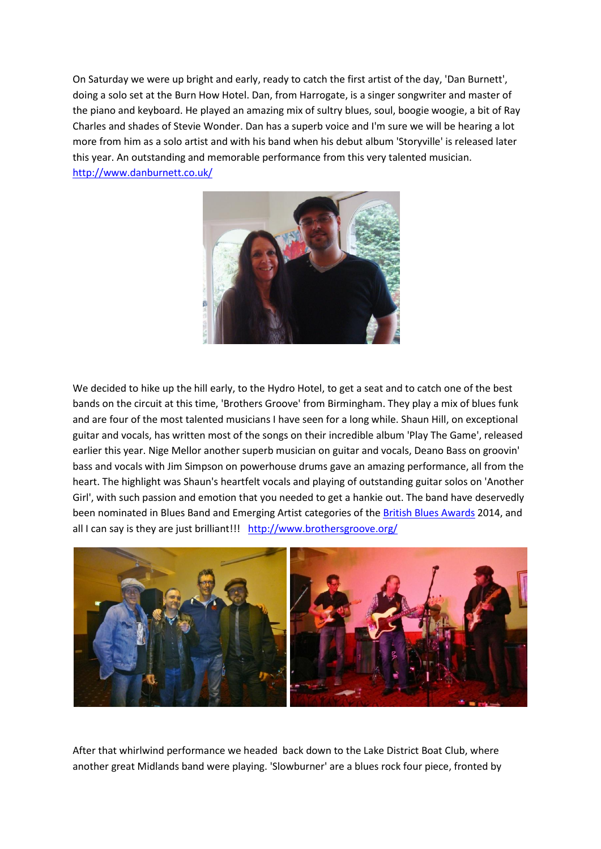On Saturday we were up bright and early, ready to catch the first artist of the day, 'Dan Burnett', doing a solo set at the Burn How Hotel. Dan, from Harrogate, is a singer songwriter and master of the piano and keyboard. He played an amazing mix of sultry blues, soul, boogie woogie, a bit of Ray Charles and shades of Stevie Wonder. Dan has a superb voice and I'm sure we will be hearing a lot more from him as a solo artist and with his band when his debut album 'Storyville' is released later this year. An outstanding and memorable performance from this very talented musician. <http://www.danburnett.co.uk/>



We decided to hike up the hill early, to the Hydro Hotel, to get a seat and to catch one of the best bands on the circuit at this time, 'Brothers Groove' from Birmingham. They play a mix of blues funk and are four of the most talented musicians I have seen for a long while. Shaun Hill, on exceptional guitar and vocals, has written most of the songs on their incredible album 'Play The Game', released earlier this year. Nige Mellor another superb musician on guitar and vocals, Deano Bass on groovin' bass and vocals with Jim Simpson on powerhouse drums gave an amazing performance, all from the heart. The highlight was Shaun's heartfelt vocals and playing of outstanding guitar solos on 'Another Girl', with such passion and emotion that you needed to get a hankie out. The band have deservedly been nominated in Blues Band and Emerging Artist categories of th[e British Blues Awards](http://www.britishbluesawards.com/) 2014, and all I can say is they are just brilliant!!! <http://www.brothersgroove.org/>



After that whirlwind performance we headed back down to the Lake District Boat Club, where another great Midlands band were playing. 'Slowburner' are a blues rock four piece, fronted by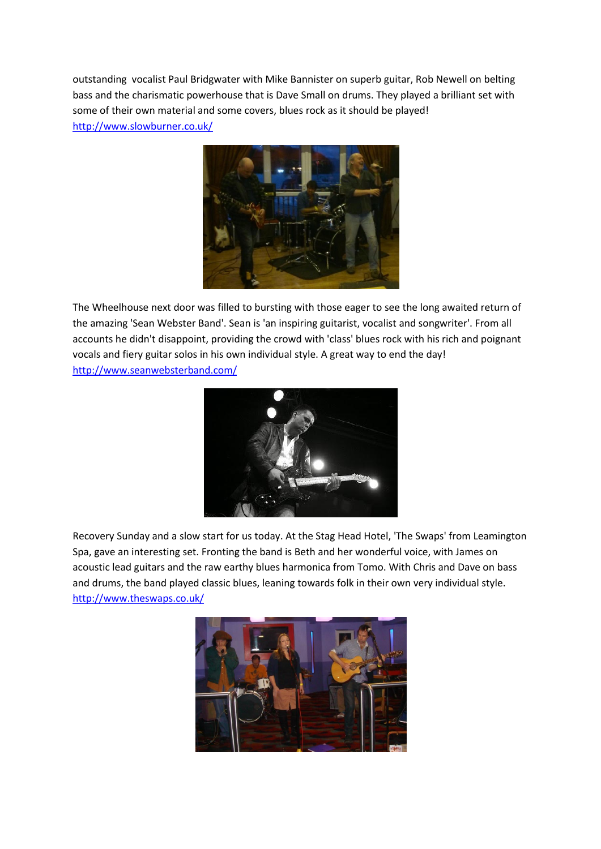outstanding vocalist Paul Bridgwater with Mike Bannister on superb guitar, Rob Newell on belting bass and the charismatic powerhouse that is Dave Small on drums. They played a brilliant set with some of their own material and some covers, blues rock as it should be played! <http://www.slowburner.co.uk/>



The Wheelhouse next door was filled to bursting with those eager to see the long awaited return of the amazing 'Sean Webster Band'. Sean is 'an inspiring guitarist, vocalist and songwriter'. From all accounts he didn't disappoint, providing the crowd with 'class' blues rock with his rich and poignant vocals and fiery guitar solos in his own individual style. A great way to end the day! <http://www.seanwebsterband.com/>



Recovery Sunday and a slow start for us today. At the Stag Head Hotel, 'The Swaps' from Leamington Spa, gave an interesting set. Fronting the band is Beth and her wonderful voice, with James on acoustic lead guitars and the raw earthy blues harmonica from Tomo. With Chris and Dave on bass and drums, the band played classic blues, leaning towards folk in their own very individual style. <http://www.theswaps.co.uk/>